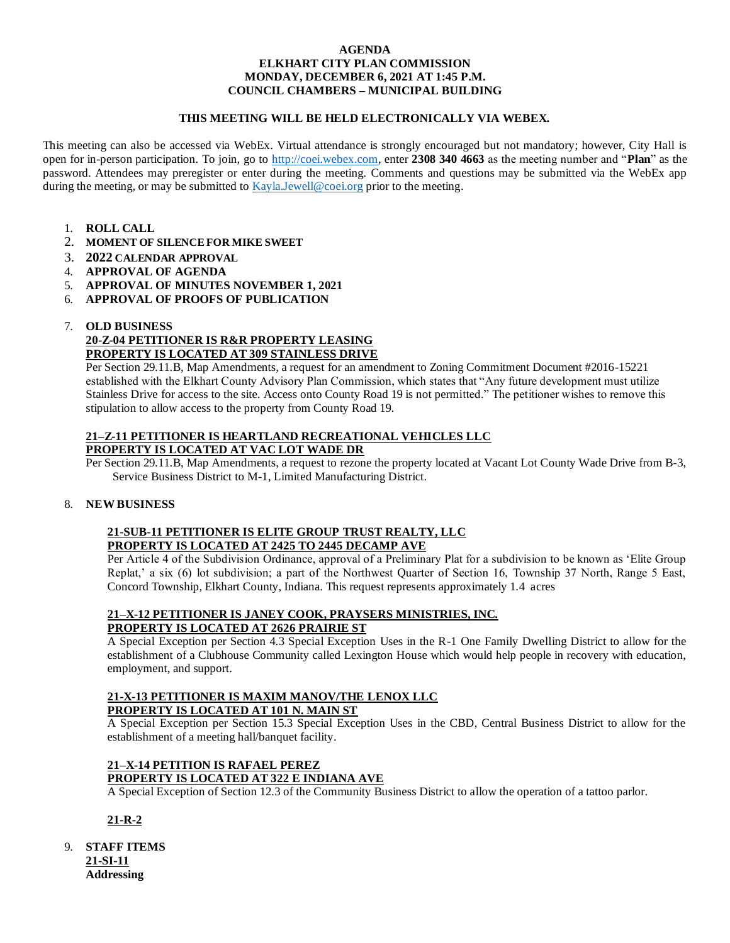#### **AGENDA ELKHART CITY PLAN COMMISSION MONDAY, DECEMBER 6, 2021 AT 1:45 P.M. COUNCIL CHAMBERS – MUNICIPAL BUILDING**

## **THIS MEETING WILL BE HELD ELECTRONICALLY VIA WEBEX.**

This meeting can also be accessed via WebEx. Virtual attendance is strongly encouraged but not mandatory; however, City Hall is open for in-person participation. To join, go to [http://coei.webex.com,](http://coei.webex.com/) enter **2308 340 4663** as the meeting number and "**Plan**" as the password. Attendees may preregister or enter during the meeting. Comments and questions may be submitted via the WebEx app during the meeting, or may be submitted to [Kayla.Jewell@coei.org](mailto:Kayla.Jewell@coei.org) prior to the meeting.

- 1. **ROLL CALL**
- 2. **MOMENT OF SILENCE FOR MIKE SWEET**
- 3. **2022 CALENDAR APPROVAL**
- 4. **APPROVAL OF AGENDA**
- 5. **APPROVAL OF MINUTES NOVEMBER 1, 2021**
- 6. **APPROVAL OF PROOFS OF PUBLICATION**

#### 7. **OLD BUSINESS 20-Z-04 PETITIONER IS R&R PROPERTY LEASING PROPERTY IS LOCATED AT 309 STAINLESS DRIVE**

Per Section 29.11.B, Map Amendments, a request for an amendment to Zoning Commitment Document #2016-15221 established with the Elkhart County Advisory Plan Commission, which states that "Any future development must utilize Stainless Drive for access to the site. Access onto County Road 19 is not permitted." The petitioner wishes to remove this stipulation to allow access to the property from County Road 19.

#### **21–Z-11 PETITIONER IS HEARTLAND RECREATIONAL VEHICLES LLC PROPERTY IS LOCATED AT VAC LOT WADE DR**

Per Section 29.11.B, Map Amendments, a request to rezone the property located at Vacant Lot County Wade Drive from B-3, Service Business District to M-1, Limited Manufacturing District.

# 8. **NEW BUSINESS**

## **21-SUB-11 PETITIONER IS ELITE GROUP TRUST REALTY, LLC PROPERTY IS LOCATED AT 2425 TO 2445 DECAMP AVE**

Per Article 4 of the Subdivision Ordinance, approval of a Preliminary Plat for a subdivision to be known as 'Elite Group Replat,' a six (6) lot subdivision; a part of the Northwest Quarter of Section 16, Township 37 North, Range 5 East, Concord Township, Elkhart County, Indiana. This request represents approximately 1.4 acres

#### **21–X-12 PETITIONER IS JANEY COOK, PRAYSERS MINISTRIES, INC. PROPERTY IS LOCATED AT 2626 PRAIRIE ST**

A Special Exception per Section 4.3 Special Exception Uses in the R-1 One Family Dwelling District to allow for the establishment of a Clubhouse Community called Lexington House which would help people in recovery with education, employment, and support.

# **21-X-13 PETITIONER IS MAXIM MANOV/THE LENOX LLC**

# **PROPERTY IS LOCATED AT 101 N. MAIN ST**

A Special Exception per Section 15.3 Special Exception Uses in the CBD, Central Business District to allow for the establishment of a meeting hall/banquet facility.

# **21–X-14 PETITION IS RAFAEL PEREZ PROPERTY IS LOCATED AT 322 E INDIANA AVE**

A Special Exception of Section 12.3 of the Community Business District to allow the operation of a tattoo parlor.

# **21-R-2**

9. **STAFF ITEMS 21-SI-11 Addressing**